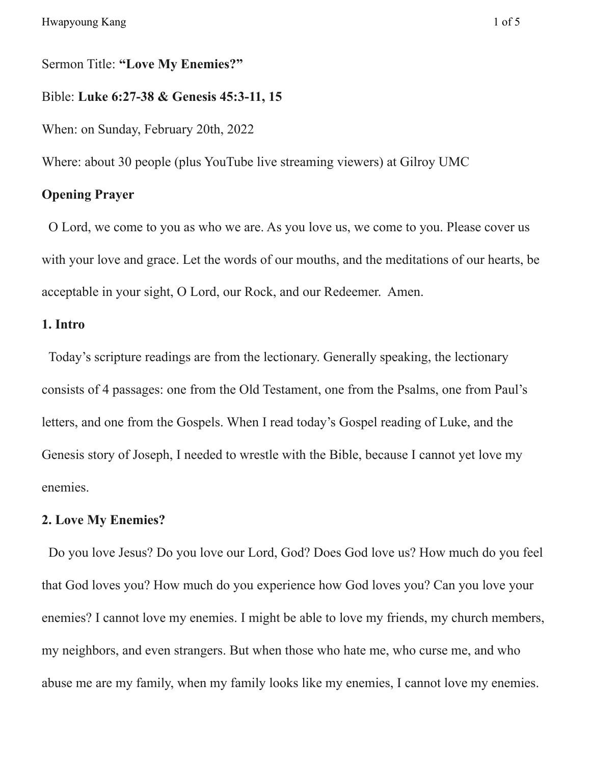Sermon Title: **"Love My Enemies?"**

Bible: **Luke 6:27-38 & Genesis 45:3-11, 15**

When: on Sunday, February 20th, 2022

Where: about 30 people (plus YouTube live streaming viewers) at Gilroy UMC

# **Opening Prayer**

O Lord, we come to you as who we are. As you love us, we come to you. Please cover us with your love and grace. Let the words of our mouths, and the meditations of our hearts, be acceptable in your sight, O Lord, our Rock, and our Redeemer. Amen.

### **1. Intro**

Today's scripture readings are from the lectionary. Generally speaking, the lectionary consists of 4 passages: one from the Old Testament, one from the Psalms, one from Paul's letters, and one from the Gospels. When I read today's Gospel reading of Luke, and the Genesis story of Joseph, I needed to wrestle with the Bible, because I cannot yet love my enemies.

#### **2. Love My Enemies?**

Do you love Jesus? Do you love our Lord, God? Does God love us? How much do you feel that God loves you? How much do you experience how God loves you? Can you love your enemies? I cannot love my enemies. I might be able to love my friends, my church members, my neighbors, and even strangers. But when those who hate me, who curse me, and who abuse me are my family, when my family looks like my enemies, I cannot love my enemies.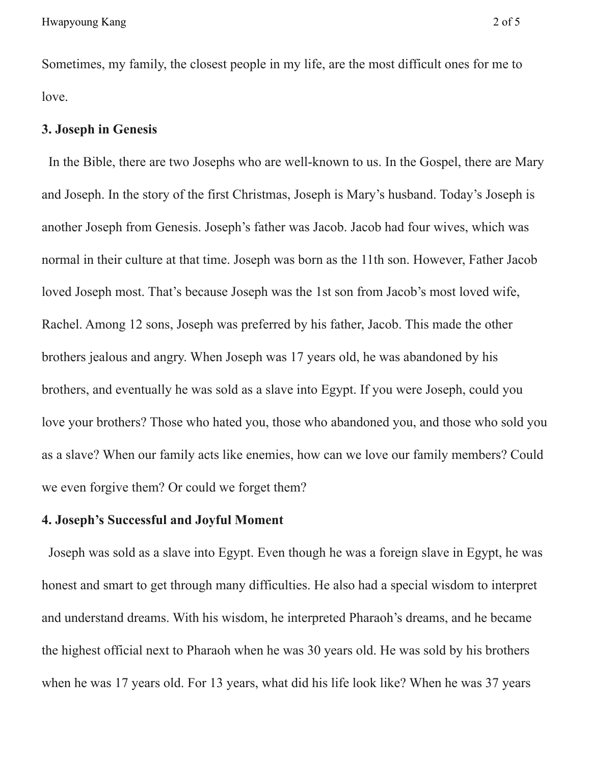Sometimes, my family, the closest people in my life, are the most difficult ones for me to love.

## **3. Joseph in Genesis**

In the Bible, there are two Josephs who are well-known to us. In the Gospel, there are Mary and Joseph. In the story of the first Christmas, Joseph is Mary's husband. Today's Joseph is another Joseph from Genesis. Joseph's father was Jacob. Jacob had four wives, which was normal in their culture at that time. Joseph was born as the 11th son. However, Father Jacob loved Joseph most. That's because Joseph was the 1st son from Jacob's most loved wife, Rachel. Among 12 sons, Joseph was preferred by his father, Jacob. This made the other brothers jealous and angry. When Joseph was 17 years old, he was abandoned by his brothers, and eventually he was sold as a slave into Egypt. If you were Joseph, could you love your brothers? Those who hated you, those who abandoned you, and those who sold you as a slave? When our family acts like enemies, how can we love our family members? Could we even forgive them? Or could we forget them?

#### **4. Joseph's Successful and Joyful Moment**

Joseph was sold as a slave into Egypt. Even though he was a foreign slave in Egypt, he was honest and smart to get through many difficulties. He also had a special wisdom to interpret and understand dreams. With his wisdom, he interpreted Pharaoh's dreams, and he became the highest official next to Pharaoh when he was 30 years old. He was sold by his brothers when he was 17 years old. For 13 years, what did his life look like? When he was 37 years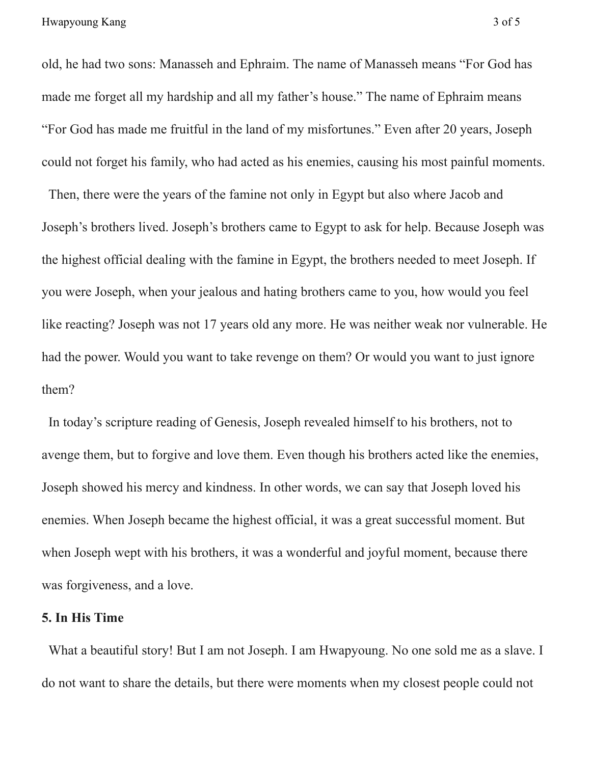old, he had two sons: Manasseh and Ephraim. The name of Manasseh means "For God has made me forget all my hardship and all my father's house." The name of Ephraim means "For God has made me fruitful in the land of my misfortunes." Even after 20 years, Joseph could not forget his family, who had acted as his enemies, causing his most painful moments.

Then, there were the years of the famine not only in Egypt but also where Jacob and Joseph's brothers lived. Joseph's brothers came to Egypt to ask for help. Because Joseph was the highest official dealing with the famine in Egypt, the brothers needed to meet Joseph. If you were Joseph, when your jealous and hating brothers came to you, how would you feel like reacting? Joseph was not 17 years old any more. He was neither weak nor vulnerable. He had the power. Would you want to take revenge on them? Or would you want to just ignore them?

In today's scripture reading of Genesis, Joseph revealed himself to his brothers, not to avenge them, but to forgive and love them. Even though his brothers acted like the enemies, Joseph showed his mercy and kindness. In other words, we can say that Joseph loved his enemies. When Joseph became the highest official, it was a great successful moment. But when Joseph wept with his brothers, it was a wonderful and joyful moment, because there was forgiveness, and a love.

## **5. In His Time**

What a beautiful story! But I am not Joseph. I am Hwapyoung. No one sold me as a slave. I do not want to share the details, but there were moments when my closest people could not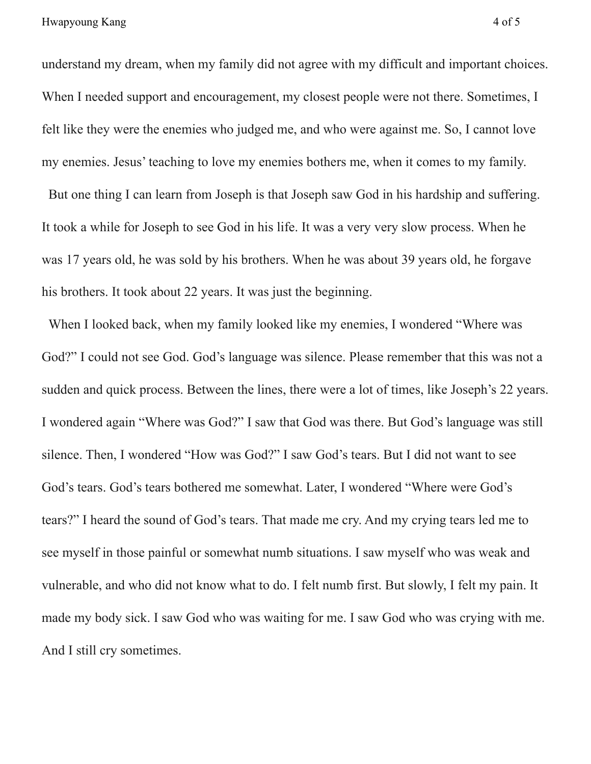understand my dream, when my family did not agree with my difficult and important choices. When I needed support and encouragement, my closest people were not there. Sometimes, I felt like they were the enemies who judged me, and who were against me. So, I cannot love my enemies. Jesus' teaching to love my enemies bothers me, when it comes to my family.

But one thing I can learn from Joseph is that Joseph saw God in his hardship and suffering. It took a while for Joseph to see God in his life. It was a very very slow process. When he was 17 years old, he was sold by his brothers. When he was about 39 years old, he forgave his brothers. It took about 22 years. It was just the beginning.

When I looked back, when my family looked like my enemies, I wondered "Where was God?" I could not see God. God's language was silence. Please remember that this was not a sudden and quick process. Between the lines, there were a lot of times, like Joseph's 22 years. I wondered again "Where was God?" I saw that God was there. But God's language was still silence. Then, I wondered "How was God?" I saw God's tears. But I did not want to see God's tears. God's tears bothered me somewhat. Later, I wondered "Where were God's tears?" I heard the sound of God's tears. That made me cry. And my crying tears led me to see myself in those painful or somewhat numb situations. I saw myself who was weak and vulnerable, and who did not know what to do. I felt numb first. But slowly, I felt my pain. It made my body sick. I saw God who was waiting for me. I saw God who was crying with me. And I still cry sometimes.